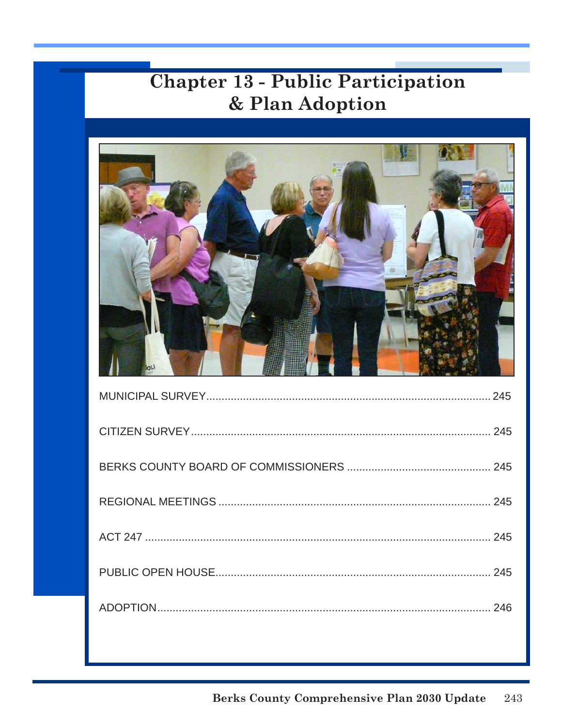# **Chapter 13 - Public Participation** & Plan Adoption

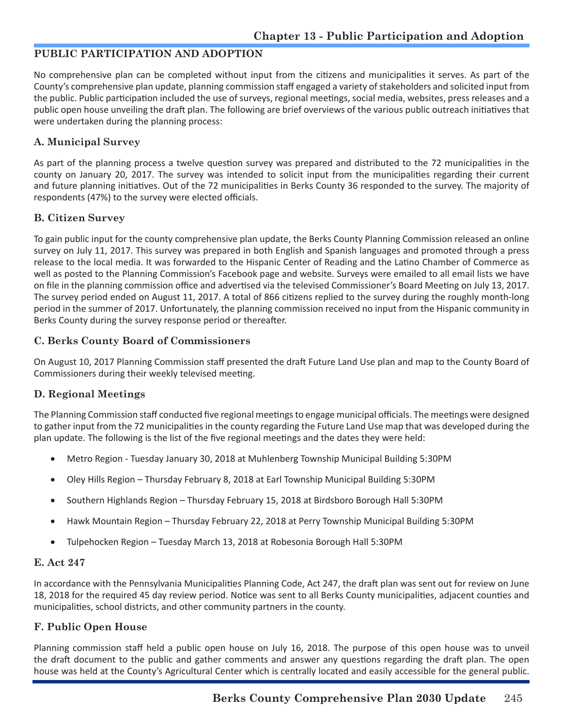## **PUBLIC PARTICIPATION AND ADOPTION**

No comprehensive plan can be completed without input from the citizens and municipalities it serves. As part of the County's comprehensive plan update, planning commission staff engaged a variety of stakeholders and solicited input from the public. Public participation included the use of surveys, regional meetings, social media, websites, press releases and a public open house unveiling the draft plan. The following are brief overviews of the various public outreach initiatives that were undertaken during the planning process:

## **A. Municipal Survey**

As part of the planning process a twelve question survey was prepared and distributed to the 72 municipalities in the county on January 20, 2017. The survey was intended to solicit input from the municipalities regarding their current and future planning initiatives. Out of the 72 municipalities in Berks County 36 responded to the survey. The majority of respondents (47%) to the survey were elected officials.

## **B. Citizen Survey**

To gain public input for the county comprehensive plan update, the Berks County Planning Commission released an online survey on July 11, 2017. This survey was prepared in both English and Spanish languages and promoted through a press release to the local media. It was forwarded to the Hispanic Center of Reading and the Latino Chamber of Commerce as well as posted to the Planning Commission's Facebook page and website. Surveys were emailed to all email lists we have on file in the planning commission office and advertised via the televised Commissioner's Board Meeting on July 13, 2017. The survey period ended on August 11, 2017. A total of 866 citizens replied to the survey during the roughly month-long period in the summer of 2017. Unfortunately, the planning commission received no input from the Hispanic community in Berks County during the survey response period or thereafter.

## **C. Berks County Board of Commissioners**

On August 10, 2017 Planning Commission staff presented the draft Future Land Use plan and map to the County Board of Commissioners during their weekly televised meeting.

## **D. Regional Meetings**

The Planning Commission staff conducted five regional meetings to engage municipal officials. The meetings were designed to gather input from the 72 municipalities in the county regarding the Future Land Use map that was developed during the plan update. The following is the list of the five regional meetings and the dates they were held:

- Metro Region Tuesday January 30, 2018 at Muhlenberg Township Municipal Building 5:30PM
- Oley Hills Region Thursday February 8, 2018 at Earl Township Municipal Building 5:30PM
- Southern Highlands Region Thursday February 15, 2018 at Birdsboro Borough Hall 5:30PM
- Hawk Mountain Region Thursday February 22, 2018 at Perry Township Municipal Building 5:30PM
- Tulpehocken Region Tuesday March 13, 2018 at Robesonia Borough Hall 5:30PM

## **E. Act 247**

In accordance with the Pennsylvania Municipalities Planning Code, Act 247, the draft plan was sent out for review on June 18, 2018 for the required 45 day review period. Notice was sent to all Berks County municipalities, adjacent counties and municipalities, school districts, and other community partners in the county.

## **F. Public Open House**

Planning commission staff held a public open house on July 16, 2018. The purpose of this open house was to unveil the draft document to the public and gather comments and answer any questions regarding the draft plan. The open house was held at the County's Agricultural Center which is centrally located and easily accessible for the general public.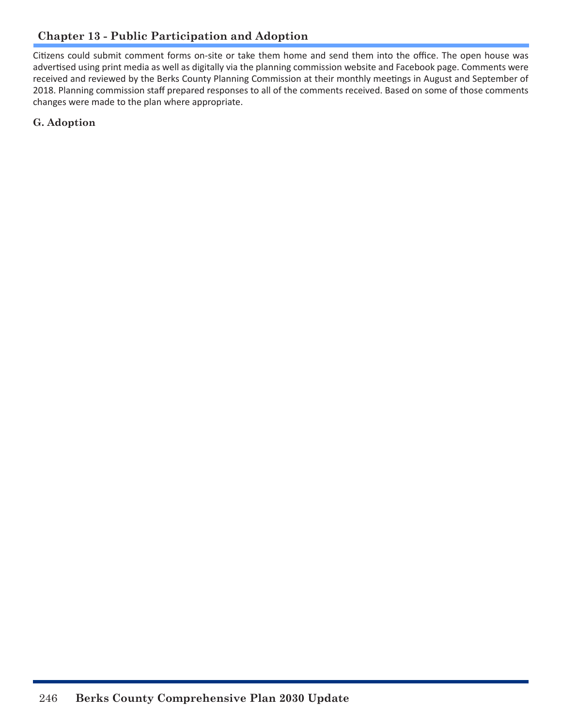Citizens could submit comment forms on-site or take them home and send them into the office. The open house was advertised using print media as well as digitally via the planning commission website and Facebook page. Comments were received and reviewed by the Berks County Planning Commission at their monthly meetings in August and September of 2018. Planning commission staff prepared responses to all of the comments received. Based on some of those comments changes were made to the plan where appropriate.

**G. Adoption**